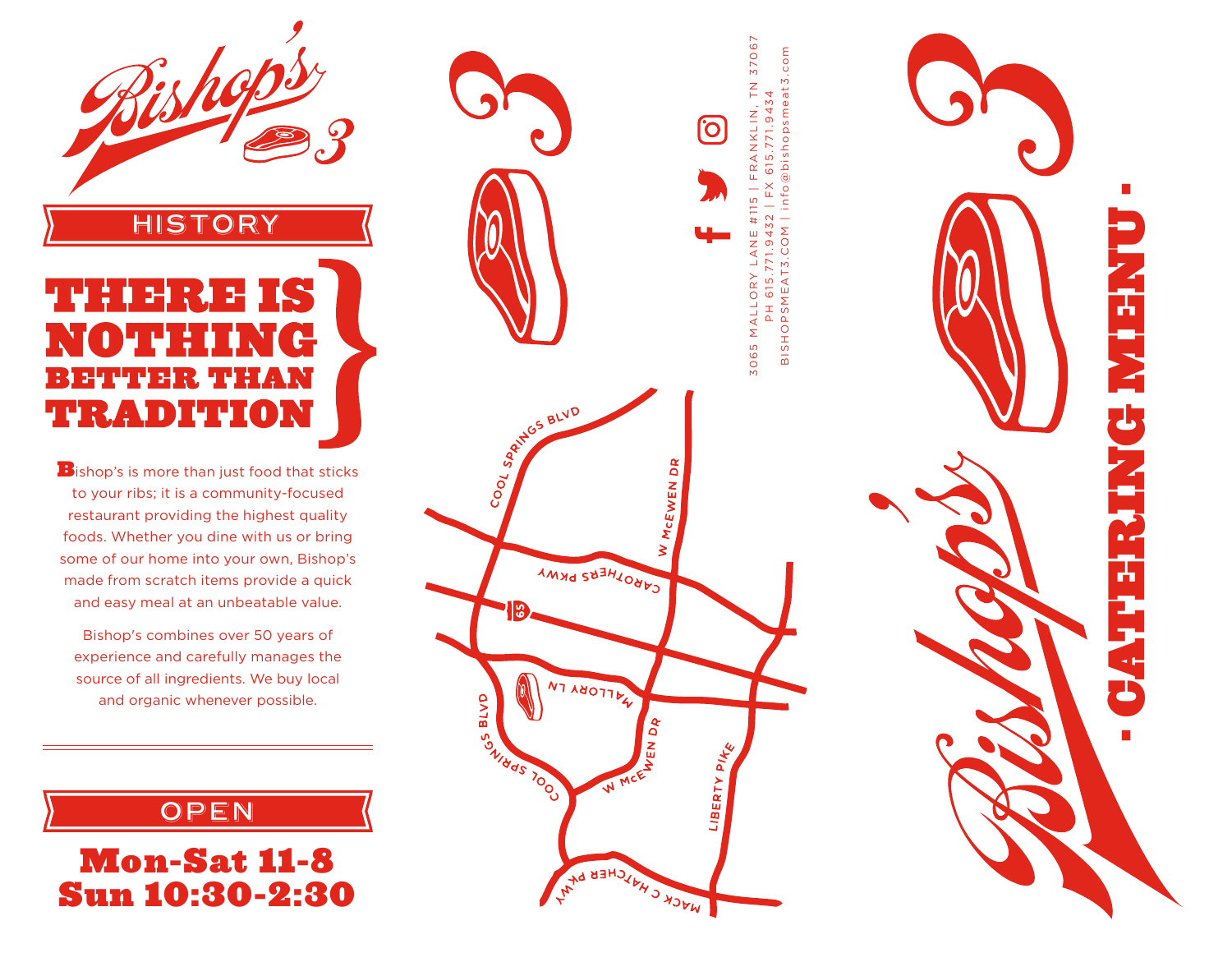

# HISTORY 54  $\mathbf{e}$ 电电动式电电动式 **TRADITION**

**B**ishop's is more than just food that sticks to your ribs; it is a community-focused restaurant providing the highest quality foods. Whether you dine with us or bring some of our home into your own, Bishop's made from scratch items provide a quick and easy meal at an unbeatable value.

Bishop's combines over 50 years of experience and carefully manages the source of all ingredients. We buy local and organic whenever possible.

## OPEN

Mon-Sat 11-8 Sun 10:30-2:30



· CATERING MENU ·

f.

Ŧ

P

 $\blacksquare$ 

 $\frac{1}{4}$